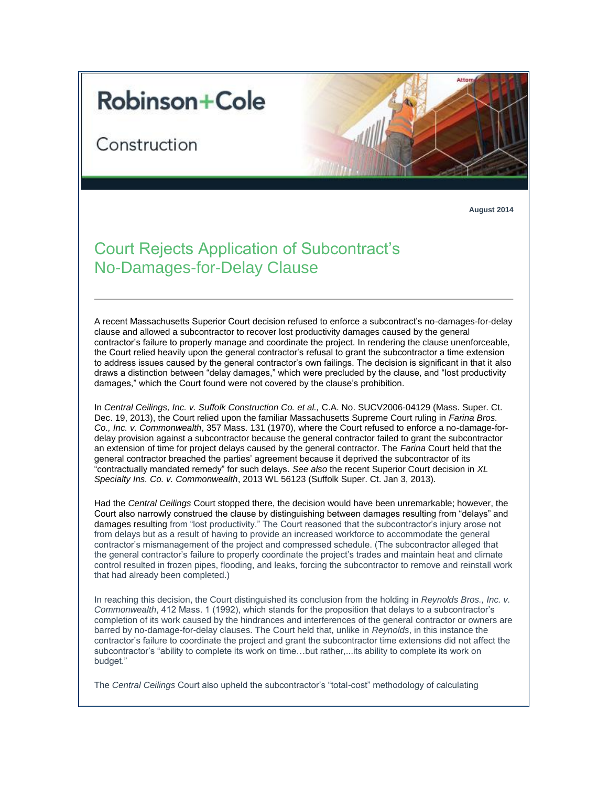## **Robinson+Cole**

Construction



**August 2014**

## Court Rejects Application of Subcontract's No-Damages-for-Delay Clause

A recent Massachusetts Superior Court decision refused to enforce a subcontract's no-damages-for-delay clause and allowed a subcontractor to recover lost productivity damages caused by the general contractor's failure to properly manage and coordinate the project. In rendering the clause unenforceable, the Court relied heavily upon the general contractor's refusal to grant the subcontractor a time extension to address issues caused by the general contractor's own failings. The decision is significant in that it also draws a distinction between "delay damages," which were precluded by the clause, and "lost productivity damages," which the Court found were not covered by the clause's prohibition.

In *Central Ceilings, Inc. v. Suffolk Construction Co. et al.,* C.A. No. SUCV2006-04129 (Mass. Super. Ct. Dec. 19, 2013), the Court relied upon the familiar Massachusetts Supreme Court ruling in *Farina Bros. Co., Inc. v. Commonwealth*, 357 Mass. 131 (1970), where the Court refused to enforce a no-damage-fordelay provision against a subcontractor because the general contractor failed to grant the subcontractor an extension of time for project delays caused by the general contractor. The *Farina* Court held that the general contractor breached the parties' agreement because it deprived the subcontractor of its "contractually mandated remedy" for such delays. *See also* the recent Superior Court decision in *XL Specialty Ins. Co. v. Commonwealth*, 2013 WL 56123 (Suffolk Super. Ct. Jan 3, 2013).

Had the *Central Ceilings* Court stopped there, the decision would have been unremarkable; however, the Court also narrowly construed the clause by distinguishing between damages resulting from "delays" and damages resulting from "lost productivity." The Court reasoned that the subcontractor's injury arose not from delays but as a result of having to provide an increased workforce to accommodate the general contractor's mismanagement of the project and compressed schedule. (The subcontractor alleged that the general contractor's failure to properly coordinate the project's trades and maintain heat and climate control resulted in frozen pipes, flooding, and leaks, forcing the subcontractor to remove and reinstall work that had already been completed.)

In reaching this decision, the Court distinguished its conclusion from the holding in *Reynolds Bros., Inc. v. Commonwealth*, 412 Mass. 1 (1992), which stands for the proposition that delays to a subcontractor's completion of its work caused by the hindrances and interferences of the general contractor or owners are barred by no-damage-for-delay clauses. The Court held that, unlike in *Reynolds*, in this instance the contractor's failure to coordinate the project and grant the subcontractor time extensions did not affect the subcontractor's "ability to complete its work on time…but rather,...its ability to complete its work on budget."

The *Central Ceilings* Court also upheld the subcontractor's "total-cost" methodology of calculating